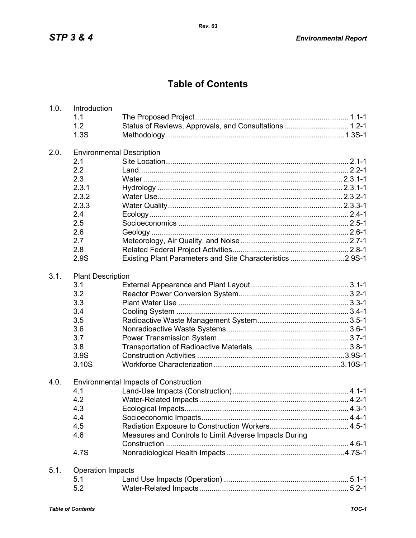## **Table of Contents**

| 1.0. | Introduction                                 |                                                           |  |  |
|------|----------------------------------------------|-----------------------------------------------------------|--|--|
|      | 1.1                                          |                                                           |  |  |
|      | 1.2                                          | Status of Reviews, Approvals, and Consultations 1.2-1     |  |  |
|      | 1.3S                                         |                                                           |  |  |
| 2.0. | <b>Environmental Description</b>             |                                                           |  |  |
|      | 2.1                                          |                                                           |  |  |
|      | 2.2                                          |                                                           |  |  |
|      | 2.3                                          |                                                           |  |  |
|      | 2.3.1                                        |                                                           |  |  |
|      | 2.3.2                                        |                                                           |  |  |
|      | 2.3.3                                        |                                                           |  |  |
|      | 2.4                                          |                                                           |  |  |
|      | 2.5                                          |                                                           |  |  |
|      | 2.6                                          |                                                           |  |  |
|      | 2.7                                          |                                                           |  |  |
|      | 2.8                                          |                                                           |  |  |
|      | 2.9S                                         | Existing Plant Parameters and Site Characteristics 2.9S-1 |  |  |
| 3.1. | <b>Plant Description</b>                     |                                                           |  |  |
|      | 3.1                                          |                                                           |  |  |
|      | 3.2                                          |                                                           |  |  |
|      | 3.3                                          |                                                           |  |  |
|      | 3.4                                          |                                                           |  |  |
|      | 3.5                                          |                                                           |  |  |
|      | 3.6                                          |                                                           |  |  |
|      | 3.7                                          |                                                           |  |  |
|      | 3.8                                          |                                                           |  |  |
|      | 3.9S                                         |                                                           |  |  |
|      | 3.10S                                        |                                                           |  |  |
| 4.0. | <b>Environmental Impacts of Construction</b> |                                                           |  |  |
|      | 4.1                                          |                                                           |  |  |
|      | 4.2                                          |                                                           |  |  |
|      | 4.3                                          |                                                           |  |  |
|      | 4.4                                          |                                                           |  |  |
|      | 4.5                                          |                                                           |  |  |
|      | 4.6                                          | Measures and Controls to Limit Adverse Impacts During     |  |  |
|      |                                              |                                                           |  |  |
|      | 4.7S                                         |                                                           |  |  |
| 5.1. | <b>Operation Impacts</b>                     |                                                           |  |  |
|      | 5.1                                          |                                                           |  |  |
|      | 5.2                                          |                                                           |  |  |